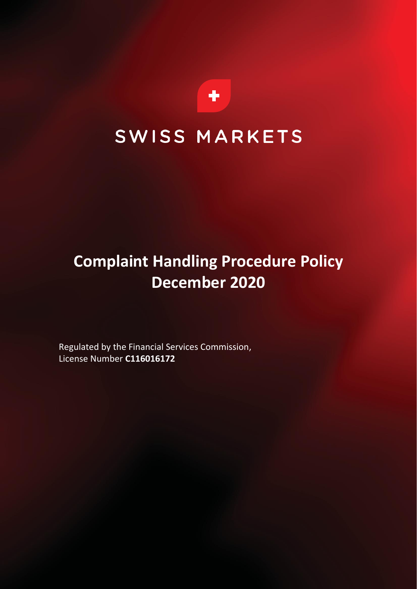

# SWISS MARKETS

# **Complaint Handling Procedure Policy December 2020**

Regulated by the Financial Services Commission, License Number **C116016172**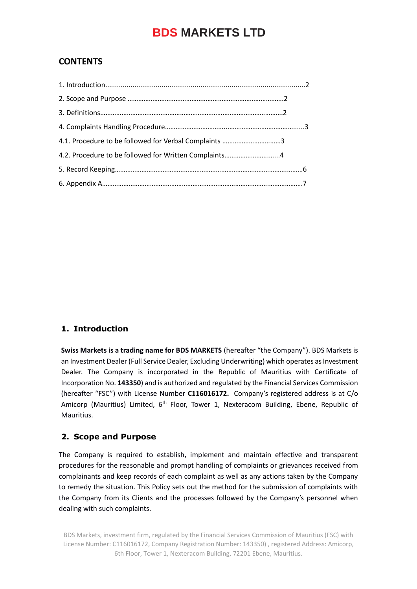### **CONTENTS**

#### **1. Introduction**

**Swiss Markets is a trading name for BDS MARKETS** (hereafter "the Company"). BDS Markets is an Investment Dealer (Full Service Dealer, Excluding Underwriting) which operates as Investment Dealer. The Company is incorporated in the Republic of Mauritius with Certificate of Incorporation No. **143350**) and is authorized and regulated by the Financial Services Commission (hereafter "FSC") with License Number **C116016172.** Company's registered address is at C/o Amicorp (Mauritius) Limited,  $6<sup>th</sup>$  Floor, Tower 1, Nexteracom Building, Ebene, Republic of Mauritius.

#### **2. Scope and Purpose**

The Company is required to establish, implement and maintain effective and transparent procedures for the reasonable and prompt handling of complaints or grievances received from complainants and keep records of each complaint as well as any actions taken by the Company to remedy the situation. This Policy sets out the method for the submission of complaints with the Company from its Clients and the processes followed by the Company's personnel when dealing with such complaints.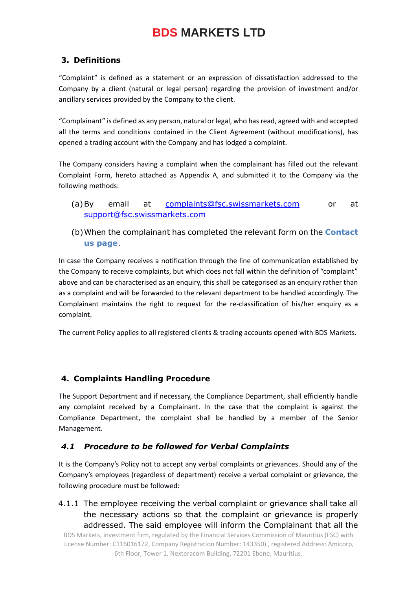### **3. Definitions**

"Complaint" is defined as a statement or an expression of dissatisfaction addressed to the Company by a client (natural or legal person) regarding the provision of investment and/or ancillary services provided by the Company to the client.

"Complainant" is defined as any person, natural or legal, who has read, agreed with and accepted all the terms and conditions contained in the Client Agreement (without modifications), has opened a trading account with the Company and has lodged a complaint.

The Company considers having a complaint when the complainant has filled out the relevant Complaint Form, hereto attached as Appendix A, and submitted it to the Company via the following methods:

- (a)By email at [complaints@fsc.swissmarkets.com](mailto:complaints@bdsmarkets.com) or at [support@fsc.swissmarkets.com](mailto:support@bdsmarkets.com)
- (b)When the complainant has completed the relevant form on the **Contact us page**.

In case the Company receives a notification through the line of communication established by the Company to receive complaints, but which does not fall within the definition of "complaint" above and can be characterised as an enquiry, this shall be categorised as an enquiry rather than as a complaint and will be forwarded to the relevant department to be handled accordingly. The Complainant maintains the right to request for the re-classification of his/her enquiry as a complaint.

The current Policy applies to all registered clients & trading accounts opened with BDS Markets.

#### **4. Complaints Handling Procedure**

The Support Department and if necessary, the Compliance Department, shall efficiently handle any complaint received by a Complainant. In the case that the complaint is against the Compliance Department, the complaint shall be handled by a member of the Senior Management.

#### *4.1 Procedure to be followed for Verbal Complaints*

It is the Company's Policy not to accept any verbal complaints or grievances. Should any of the Company's employees (regardless of department) receive a verbal complaint or grievance, the following procedure must be followed:

4.1.1 The employee receiving the verbal complaint or grievance shall take all the necessary actions so that the complaint or grievance is properly addressed. The said employee will inform the Complainant that all the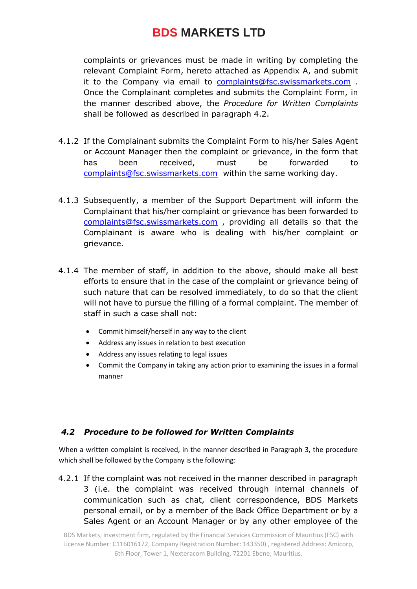complaints or grievances must be made in writing by completing the relevant Complaint Form, hereto attached as Appendix A, and submit it to the Company via email to [complaints@fsc.swissmarkets.com](mailto:complaints@bdsmarkets.com) . Once the Complainant completes and submits the Complaint Form, in the manner described above, the *Procedure for Written Complaints* shall be followed as described in paragraph 4.2.

- 4.1.2 If the Complainant submits the Complaint Form to his/her Sales Agent or Account Manager then the complaint or grievance, in the form that has been received, must be forwarded to [complaints@fsc.swissmarkets.com](mailto:complaints@bdsmarkets.com) within the same working day.
- 4.1.3 Subsequently, a member of the Support Department will inform the Complainant that his/her complaint or grievance has been forwarded to [complaints@fsc.swissmarkets.com](mailto:complaints@bdsmarkets.com) , providing all details so that the Complainant is aware who is dealing with his/her complaint or grievance.
- 4.1.4 The member of staff, in addition to the above, should make all best efforts to ensure that in the case of the complaint or grievance being of such nature that can be resolved immediately, to do so that the client will not have to pursue the filling of a formal complaint. The member of staff in such a case shall not:
	- Commit himself/herself in any way to the client
	- Address any issues in relation to best execution
	- Address any issues relating to legal issues
	- Commit the Company in taking any action prior to examining the issues in a formal manner

### *4.2 Procedure to be followed for Written Complaints*

When a written complaint is received, in the manner described in Paragraph 3, the procedure which shall be followed by the Company is the following:

4.2.1 If the complaint was not received in the manner described in paragraph 3 (i.e. the complaint was received through internal channels of communication such as chat, client correspondence, BDS Markets personal email, or by a member of the Back Office Department or by a Sales Agent or an Account Manager or by any other employee of the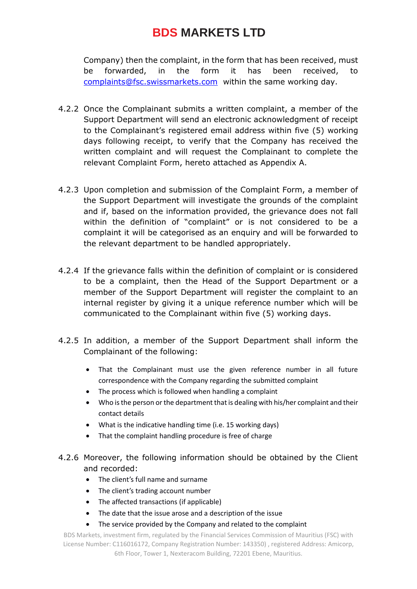Company) then the complaint, in the form that has been received, must be forwarded, in the form it has been received, to [complaints@fsc.swissmarkets.com](mailto:complaints@bdsmarkets.com) within the same working day.

- 4.2.2 Once the Complainant submits a written complaint, a member of the Support Department will send an electronic acknowledgment of receipt to the Complainant's registered email address within five (5) working days following receipt, to verify that the Company has received the written complaint and will request the Complainant to complete the relevant Complaint Form, hereto attached as Appendix A.
- 4.2.3 Upon completion and submission of the Complaint Form, a member of the Support Department will investigate the grounds of the complaint and if, based on the information provided, the grievance does not fall within the definition of "complaint" or is not considered to be a complaint it will be categorised as an enquiry and will be forwarded to the relevant department to be handled appropriately.
- 4.2.4 If the grievance falls within the definition of complaint or is considered to be a complaint, then the Head of the Support Department or a member of the Support Department will register the complaint to an internal register by giving it a unique reference number which will be communicated to the Complainant within five (5) working days.
- 4.2.5 In addition, a member of the Support Department shall inform the Complainant of the following:
	- That the Complainant must use the given reference number in all future correspondence with the Company regarding the submitted complaint
	- The process which is followed when handling a complaint
	- Who is the person or the department that is dealing with his/her complaint and their contact details
	- What is the indicative handling time (i.e. 15 working days)
	- That the complaint handling procedure is free of charge
- 4.2.6 Moreover, the following information should be obtained by the Client and recorded:
	- The client's full name and surname
	- The client's trading account number
	- The affected transactions (if applicable)
	- The date that the issue arose and a description of the issue
	- The service provided by the Company and related to the complaint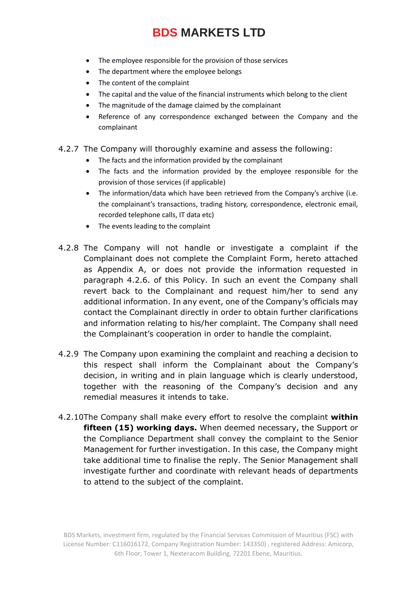- The employee responsible for the provision of those services
- The department where the employee belongs
- The content of the complaint
- The capital and the value of the financial instruments which belong to the client
- The magnitude of the damage claimed by the complainant
- Reference of any correspondence exchanged between the Company and the complainant
- 4.2.7 The Company will thoroughly examine and assess the following:
	- The facts and the information provided by the complainant
	- The facts and the information provided by the employee responsible for the provision of those services (if applicable)
	- The information/data which have been retrieved from the Company's archive (i.e. the complainant's transactions, trading history, correspondence, electronic email, recorded telephone calls, IT data etc)
	- The events leading to the complaint
- 4.2.8 The Company will not handle or investigate a complaint if the Complainant does not complete the Complaint Form, hereto attached as Appendix A, or does not provide the information requested in paragraph 4.2.6. of this Policy. In such an event the Company shall revert back to the Complainant and request him/her to send any additional information. In any event, one of the Company's officials may contact the Complainant directly in order to obtain further clarifications and information relating to his/her complaint. The Company shall need the Complainant's cooperation in order to handle the complaint.
- 4.2.9 The Company upon examining the complaint and reaching a decision to this respect shall inform the Complainant about the Company's decision, in writing and in plain language which is clearly understood, together with the reasoning of the Company's decision and any remedial measures it intends to take.
- 4.2.10The Company shall make every effort to resolve the complaint **within fifteen (15) working days.** When deemed necessary, the Support or the Compliance Department shall convey the complaint to the Senior Management for further investigation. In this case, the Company might take additional time to finalise the reply. The Senior Management shall investigate further and coordinate with relevant heads of departments to attend to the subject of the complaint.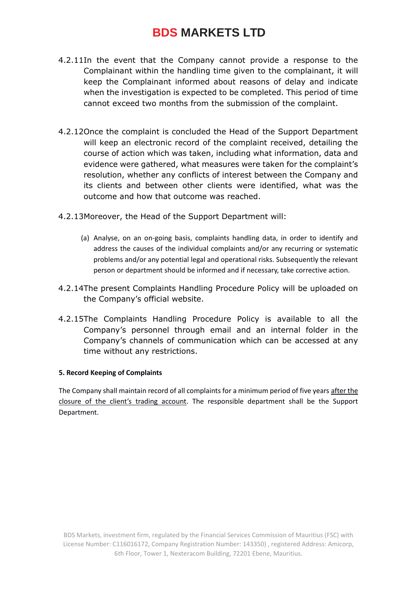- 4.2.11In the event that the Company cannot provide a response to the Complainant within the handling time given to the complainant, it will keep the Complainant informed about reasons of delay and indicate when the investigation is expected to be completed. This period of time cannot exceed two months from the submission of the complaint.
- 4.2.12Once the complaint is concluded the Head of the Support Department will keep an electronic record of the complaint received, detailing the course of action which was taken, including what information, data and evidence were gathered, what measures were taken for the complaint's resolution, whether any conflicts of interest between the Company and its clients and between other clients were identified, what was the outcome and how that outcome was reached.
- 4.2.13Moreover, the Head of the Support Department will:
	- (a) Analyse, on an on-going basis, complaints handling data, in order to identify and address the causes of the individual complaints and/or any recurring or systematic problems and/or any potential legal and operational risks. Subsequently the relevant person or department should be informed and if necessary, take corrective action.
- 4.2.14The present Complaints Handling Procedure Policy will be uploaded on the Company's official website.
- 4.2.15The Complaints Handling Procedure Policy is available to all the Company's personnel through email and an internal folder in the Company's channels of communication which can be accessed at any time without any restrictions.

#### **5. Record Keeping of Complaints**

The Company shall maintain record of all complaints for a minimum period of five years after the closure of the client's trading account. The responsible department shall be the Support Department.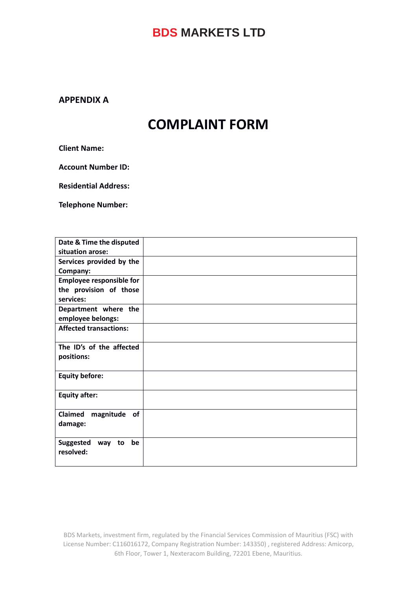### **APPENDIX A**

# **COMPLAINT FORM**

**Client Name:**

**Account Number ID:**

**Residential Address:**

**Telephone Number:**

| Date & Time the disputed         |  |
|----------------------------------|--|
| situation arose:                 |  |
| Services provided by the         |  |
| Company:                         |  |
| <b>Employee responsible for</b>  |  |
| the provision of those           |  |
| services:                        |  |
| Department where the             |  |
| employee belongs:                |  |
| <b>Affected transactions:</b>    |  |
|                                  |  |
| The ID's of the affected         |  |
| positions:                       |  |
|                                  |  |
| <b>Equity before:</b>            |  |
|                                  |  |
| <b>Equity after:</b>             |  |
|                                  |  |
| Claimed<br>magnitude<br>of       |  |
| damage:                          |  |
|                                  |  |
| <b>Suggested</b><br>be<br>way to |  |
| resolved:                        |  |
|                                  |  |